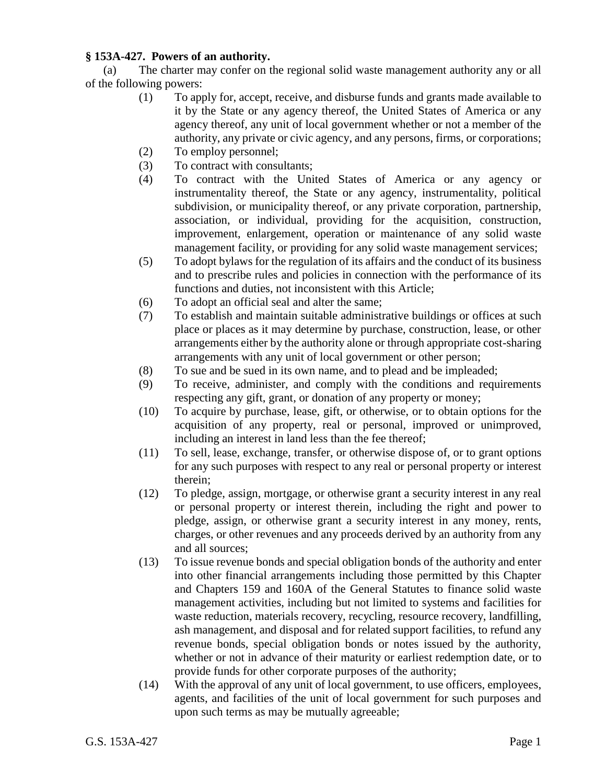## **§ 153A-427. Powers of an authority.**

(a) The charter may confer on the regional solid waste management authority any or all of the following powers:

- (1) To apply for, accept, receive, and disburse funds and grants made available to it by the State or any agency thereof, the United States of America or any agency thereof, any unit of local government whether or not a member of the authority, any private or civic agency, and any persons, firms, or corporations;
- (2) To employ personnel;
- (3) To contract with consultants;
- (4) To contract with the United States of America or any agency or instrumentality thereof, the State or any agency, instrumentality, political subdivision, or municipality thereof, or any private corporation, partnership, association, or individual, providing for the acquisition, construction, improvement, enlargement, operation or maintenance of any solid waste management facility, or providing for any solid waste management services;
- (5) To adopt bylaws for the regulation of its affairs and the conduct of its business and to prescribe rules and policies in connection with the performance of its functions and duties, not inconsistent with this Article;
- (6) To adopt an official seal and alter the same;
- (7) To establish and maintain suitable administrative buildings or offices at such place or places as it may determine by purchase, construction, lease, or other arrangements either by the authority alone or through appropriate cost-sharing arrangements with any unit of local government or other person;
- (8) To sue and be sued in its own name, and to plead and be impleaded;
- (9) To receive, administer, and comply with the conditions and requirements respecting any gift, grant, or donation of any property or money;
- (10) To acquire by purchase, lease, gift, or otherwise, or to obtain options for the acquisition of any property, real or personal, improved or unimproved, including an interest in land less than the fee thereof;
- (11) To sell, lease, exchange, transfer, or otherwise dispose of, or to grant options for any such purposes with respect to any real or personal property or interest therein;
- (12) To pledge, assign, mortgage, or otherwise grant a security interest in any real or personal property or interest therein, including the right and power to pledge, assign, or otherwise grant a security interest in any money, rents, charges, or other revenues and any proceeds derived by an authority from any and all sources;
- (13) To issue revenue bonds and special obligation bonds of the authority and enter into other financial arrangements including those permitted by this Chapter and Chapters 159 and 160A of the General Statutes to finance solid waste management activities, including but not limited to systems and facilities for waste reduction, materials recovery, recycling, resource recovery, landfilling, ash management, and disposal and for related support facilities, to refund any revenue bonds, special obligation bonds or notes issued by the authority, whether or not in advance of their maturity or earliest redemption date, or to provide funds for other corporate purposes of the authority;
- (14) With the approval of any unit of local government, to use officers, employees, agents, and facilities of the unit of local government for such purposes and upon such terms as may be mutually agreeable;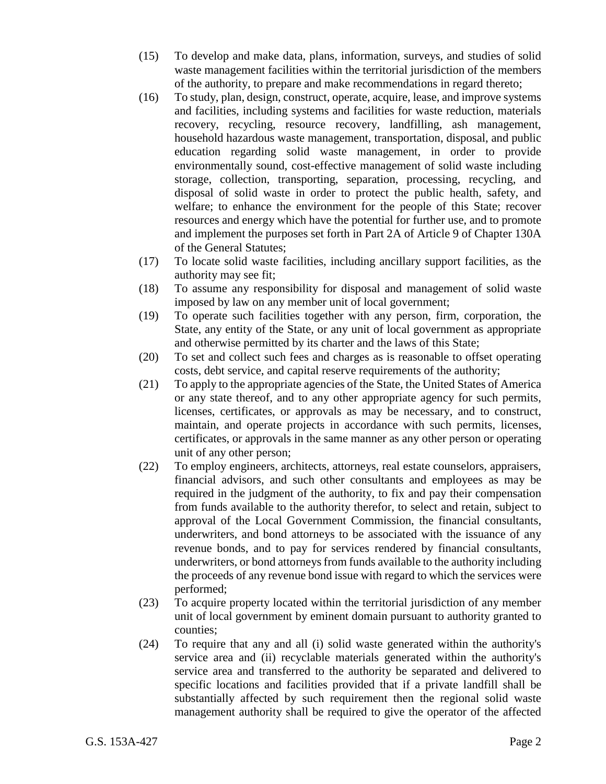- (15) To develop and make data, plans, information, surveys, and studies of solid waste management facilities within the territorial jurisdiction of the members of the authority, to prepare and make recommendations in regard thereto;
- (16) To study, plan, design, construct, operate, acquire, lease, and improve systems and facilities, including systems and facilities for waste reduction, materials recovery, recycling, resource recovery, landfilling, ash management, household hazardous waste management, transportation, disposal, and public education regarding solid waste management, in order to provide environmentally sound, cost-effective management of solid waste including storage, collection, transporting, separation, processing, recycling, and disposal of solid waste in order to protect the public health, safety, and welfare; to enhance the environment for the people of this State; recover resources and energy which have the potential for further use, and to promote and implement the purposes set forth in Part 2A of Article 9 of Chapter 130A of the General Statutes;
- (17) To locate solid waste facilities, including ancillary support facilities, as the authority may see fit;
- (18) To assume any responsibility for disposal and management of solid waste imposed by law on any member unit of local government;
- (19) To operate such facilities together with any person, firm, corporation, the State, any entity of the State, or any unit of local government as appropriate and otherwise permitted by its charter and the laws of this State;
- (20) To set and collect such fees and charges as is reasonable to offset operating costs, debt service, and capital reserve requirements of the authority;
- (21) To apply to the appropriate agencies of the State, the United States of America or any state thereof, and to any other appropriate agency for such permits, licenses, certificates, or approvals as may be necessary, and to construct, maintain, and operate projects in accordance with such permits, licenses, certificates, or approvals in the same manner as any other person or operating unit of any other person;
- (22) To employ engineers, architects, attorneys, real estate counselors, appraisers, financial advisors, and such other consultants and employees as may be required in the judgment of the authority, to fix and pay their compensation from funds available to the authority therefor, to select and retain, subject to approval of the Local Government Commission, the financial consultants, underwriters, and bond attorneys to be associated with the issuance of any revenue bonds, and to pay for services rendered by financial consultants, underwriters, or bond attorneys from funds available to the authority including the proceeds of any revenue bond issue with regard to which the services were performed;
- (23) To acquire property located within the territorial jurisdiction of any member unit of local government by eminent domain pursuant to authority granted to counties;
- (24) To require that any and all (i) solid waste generated within the authority's service area and (ii) recyclable materials generated within the authority's service area and transferred to the authority be separated and delivered to specific locations and facilities provided that if a private landfill shall be substantially affected by such requirement then the regional solid waste management authority shall be required to give the operator of the affected